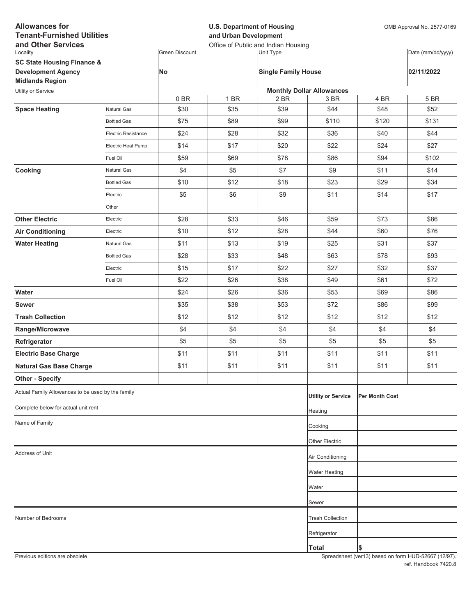| <b>Allowances for</b><br><b>Tenant-Furnished Utilities</b> |                     |                       | <b>U.S. Department of Housing</b><br>and Urban Development | OMB Approval No. 2577-0169                              |                                  |                       |                   |
|------------------------------------------------------------|---------------------|-----------------------|------------------------------------------------------------|---------------------------------------------------------|----------------------------------|-----------------------|-------------------|
| and Other Services<br>Locality                             |                     | <b>Green Discount</b> |                                                            | Office of Public and Indian Housing<br><b>Unit Type</b> |                                  |                       | Date (mm/dd/yyyy) |
| <b>SC State Housing Finance &amp;</b>                      |                     |                       |                                                            |                                                         |                                  |                       |                   |
| <b>Development Agency</b><br><b>Midlands Region</b>        |                     | No                    |                                                            | <b>Single Family House</b>                              |                                  |                       | 02/11/2022        |
| Utility or Service                                         |                     |                       |                                                            |                                                         | <b>Monthly Dollar Allowances</b> |                       |                   |
|                                                            |                     | 0BR                   | 1 BR                                                       | 2 BR                                                    | 3 BR                             | 4 BR                  | 5 BR              |
| <b>Space Heating</b>                                       | <b>Natural Gas</b>  | \$30                  | \$35                                                       | \$39                                                    | \$44                             | \$48                  | \$52              |
|                                                            | <b>Bottled Gas</b>  | \$75                  | \$89                                                       | \$99                                                    | \$110                            | \$120                 | \$131             |
|                                                            | Electric Resistance | \$24                  | \$28                                                       | \$32                                                    | \$36                             | \$40                  | \$44              |
|                                                            | Electric Heat Pump  | \$14                  | \$17                                                       | \$20                                                    | \$22                             | \$24                  | \$27              |
|                                                            | Fuel Oil            | \$59                  | \$69                                                       | \$78                                                    | \$86                             | \$94                  | \$102             |
| Cooking                                                    | Natural Gas         | \$4                   | \$5                                                        | \$7                                                     | \$9                              | \$11                  | \$14              |
|                                                            | <b>Bottled Gas</b>  | \$10                  | \$12                                                       | \$18                                                    | \$23                             | \$29                  | \$34              |
|                                                            | Electric            | \$5                   | \$6                                                        | \$9                                                     | \$11                             | \$14                  | \$17              |
|                                                            | Other               |                       |                                                            |                                                         |                                  |                       |                   |
| <b>Other Electric</b>                                      | Electric            | \$28                  | \$33                                                       | \$46                                                    | \$59                             | \$73                  | \$86              |
| <b>Air Conditioning</b>                                    | Electric            | \$10                  | \$12                                                       | \$28                                                    | \$44                             | \$60                  | \$76              |
| <b>Water Heating</b>                                       | Natural Gas         | \$11                  | \$13                                                       | \$19                                                    | \$25                             | \$31                  | \$37              |
|                                                            | <b>Bottled Gas</b>  | \$28                  | \$33                                                       | \$48                                                    | \$63                             | \$78                  | \$93              |
|                                                            | Electric            | \$15                  | \$17                                                       | \$22                                                    | \$27                             | \$32                  | \$37              |
|                                                            | Fuel Oil            | \$22                  | \$26                                                       | \$38                                                    | \$49                             | \$61                  | \$72              |
| Water                                                      |                     | \$24                  | \$26                                                       | \$36                                                    | \$53                             | \$69                  | \$86              |
| <b>Sewer</b>                                               |                     | \$35                  | \$38                                                       | \$53                                                    | \$72                             | \$86                  | \$99              |
| <b>Trash Collection</b>                                    |                     | \$12                  | \$12                                                       | \$12                                                    | \$12                             | \$12                  | \$12              |
| Range/Microwave                                            |                     | \$4                   | \$4                                                        | \$4                                                     | \$4                              | \$4                   | \$4               |
| Refrigerator                                               |                     | \$5                   | \$5                                                        | \$5                                                     | \$5                              | \$5                   | \$5               |
| <b>Electric Base Charge</b>                                |                     | \$11                  | \$11                                                       | \$11                                                    | \$11                             | \$11                  | \$11              |
| <b>Natural Gas Base Charge</b>                             |                     | \$11                  | \$11                                                       | \$11                                                    | \$11                             | \$11                  | \$11              |
| <b>Other - Specify</b>                                     |                     |                       |                                                            |                                                         |                                  |                       |                   |
| Actual Family Allowances to be used by the family          |                     |                       |                                                            |                                                         | <b>Utility or Service</b>        | <b>Per Month Cost</b> |                   |
| Complete below for actual unit rent                        |                     |                       |                                                            |                                                         | Heating                          |                       |                   |
| Name of Family                                             |                     |                       |                                                            |                                                         | Cooking                          |                       |                   |
|                                                            |                     |                       |                                                            |                                                         |                                  |                       |                   |
| Address of Unit                                            |                     |                       |                                                            |                                                         | Other Electric                   |                       |                   |
|                                                            |                     |                       |                                                            |                                                         | Air Conditioning                 |                       |                   |
|                                                            |                     |                       |                                                            |                                                         | <b>Water Heating</b>             |                       |                   |
|                                                            |                     |                       |                                                            |                                                         | Water                            |                       |                   |
|                                                            |                     |                       |                                                            |                                                         | Sewer                            |                       |                   |
| Number of Bedrooms                                         |                     |                       |                                                            |                                                         | <b>Trash Collection</b>          |                       |                   |
|                                                            |                     |                       |                                                            |                                                         | Refrigerator                     |                       |                   |
|                                                            |                     |                       |                                                            |                                                         | <b>Total</b>                     | \$                    |                   |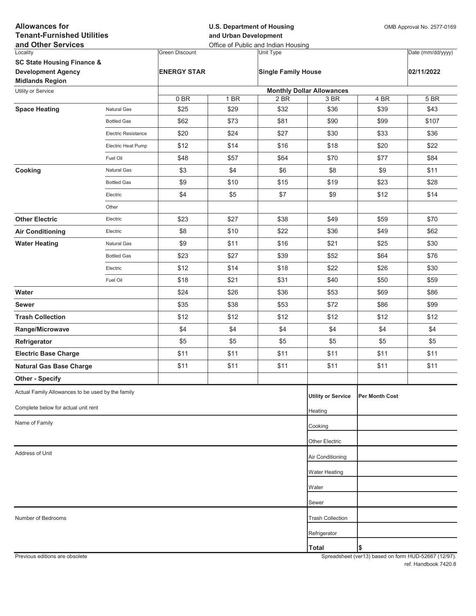| <b>Allowances for</b><br><b>Tenant-Furnished Utilities</b><br>and Other Services |                            |                       | <b>U.S. Department of Housing</b><br>and Urban Development<br>Office of Public and Indian Housing |                            |                                  |                       | OMB Approval No. 2577-0169 |  |
|----------------------------------------------------------------------------------|----------------------------|-----------------------|---------------------------------------------------------------------------------------------------|----------------------------|----------------------------------|-----------------------|----------------------------|--|
| Locality                                                                         |                            | <b>Green Discount</b> |                                                                                                   | Unit Type                  |                                  |                       | Date (mm/dd/yyyy)          |  |
| <b>SC State Housing Finance &amp;</b>                                            |                            |                       |                                                                                                   |                            |                                  |                       |                            |  |
| <b>Development Agency</b>                                                        |                            | <b>ENERGY STAR</b>    |                                                                                                   | <b>Single Family House</b> |                                  |                       | 02/11/2022                 |  |
| <b>Midlands Region</b><br>Utility or Service                                     |                            |                       |                                                                                                   |                            | <b>Monthly Dollar Allowances</b> |                       |                            |  |
|                                                                                  |                            | 0BR                   | 1 BR                                                                                              | 2 BR                       | 3 BR                             | 4 BR                  | 5 BR                       |  |
| <b>Space Heating</b>                                                             | <b>Natural Gas</b>         | \$25                  | \$29                                                                                              | \$32                       | \$36                             | \$39                  | \$43                       |  |
|                                                                                  | <b>Bottled Gas</b>         | \$62                  | \$73                                                                                              | \$81                       | \$90                             | \$99                  | \$107                      |  |
|                                                                                  | <b>Electric Resistance</b> | \$20                  | \$24                                                                                              | \$27                       | \$30                             | \$33                  | \$36                       |  |
|                                                                                  | Electric Heat Pump         | \$12                  | \$14                                                                                              | \$16                       | \$18                             | \$20                  | \$22                       |  |
|                                                                                  | Fuel Oil                   | \$48                  | \$57                                                                                              | \$64                       | \$70                             | \$77                  | \$84                       |  |
| Cooking                                                                          | <b>Natural Gas</b>         | \$3                   | \$4                                                                                               | \$6                        | \$8                              | \$9                   | \$11                       |  |
|                                                                                  | <b>Bottled Gas</b>         | \$9                   | \$10                                                                                              | \$15                       | \$19                             | \$23                  | \$28                       |  |
|                                                                                  | Electric                   | \$4                   | \$5                                                                                               | \$7                        | \$9                              | \$12                  | \$14                       |  |
|                                                                                  | Other                      |                       |                                                                                                   |                            |                                  |                       |                            |  |
| <b>Other Electric</b>                                                            | Electric                   | \$23                  | \$27                                                                                              | \$38                       | \$49                             | \$59                  | \$70                       |  |
| <b>Air Conditioning</b>                                                          | Electric                   | \$8                   | \$10                                                                                              | \$22                       | \$36                             | \$49                  | \$62                       |  |
| <b>Water Heating</b>                                                             | <b>Natural Gas</b>         | \$9                   | \$11                                                                                              | \$16                       | \$21                             | \$25                  | \$30                       |  |
|                                                                                  | <b>Bottled Gas</b>         | \$23                  | \$27                                                                                              | \$39                       | \$52                             | \$64                  | \$76                       |  |
|                                                                                  | Electric                   | \$12                  | \$14                                                                                              | \$18                       | \$22                             | \$26                  | \$30                       |  |
|                                                                                  | Fuel Oil                   | \$18                  | \$21                                                                                              | \$31                       | \$40                             | \$50                  | \$59                       |  |
| Water                                                                            |                            | \$24                  | \$26                                                                                              | \$36                       | \$53                             | \$69                  | \$86                       |  |
| <b>Sewer</b>                                                                     |                            | \$35                  | \$38                                                                                              | \$53                       | \$72                             | \$86                  | \$99                       |  |
| <b>Trash Collection</b>                                                          |                            | \$12                  | \$12                                                                                              | \$12                       | \$12                             | \$12                  | \$12                       |  |
| Range/Microwave                                                                  |                            | \$4                   | \$4                                                                                               | \$4                        | \$4                              | \$4                   | \$4                        |  |
| Refrigerator                                                                     |                            | \$5                   | \$5                                                                                               | \$5                        | \$5                              | \$5                   | \$5                        |  |
| <b>Electric Base Charge</b>                                                      |                            | \$11                  | \$11                                                                                              | \$11                       | \$11                             | \$11                  | \$11                       |  |
| <b>Natural Gas Base Charge</b>                                                   |                            | \$11                  | \$11                                                                                              | \$11                       | \$11                             | \$11                  | \$11                       |  |
| <b>Other - Specify</b>                                                           |                            |                       |                                                                                                   |                            |                                  |                       |                            |  |
| Actual Family Allowances to be used by the family                                |                            |                       |                                                                                                   |                            | <b>Utility or Service</b>        | <b>Per Month Cost</b> |                            |  |
| Complete below for actual unit rent                                              |                            |                       |                                                                                                   |                            | Heating                          |                       |                            |  |
| Name of Family                                                                   |                            |                       |                                                                                                   |                            | Cooking                          |                       |                            |  |
|                                                                                  |                            |                       |                                                                                                   |                            | Other Electric                   |                       |                            |  |
| Address of Unit                                                                  |                            |                       |                                                                                                   |                            | Air Conditioning                 |                       |                            |  |
|                                                                                  |                            |                       |                                                                                                   |                            |                                  |                       |                            |  |
|                                                                                  |                            |                       |                                                                                                   |                            | <b>Water Heating</b>             |                       |                            |  |
|                                                                                  |                            |                       |                                                                                                   |                            | Water                            |                       |                            |  |
|                                                                                  |                            |                       |                                                                                                   |                            | Sewer                            |                       |                            |  |
| Number of Bedrooms                                                               |                            |                       |                                                                                                   |                            | <b>Trash Collection</b>          |                       |                            |  |
|                                                                                  |                            |                       |                                                                                                   |                            | Refrigerator                     |                       |                            |  |
|                                                                                  |                            |                       |                                                                                                   |                            | <b>Total</b>                     | \$                    |                            |  |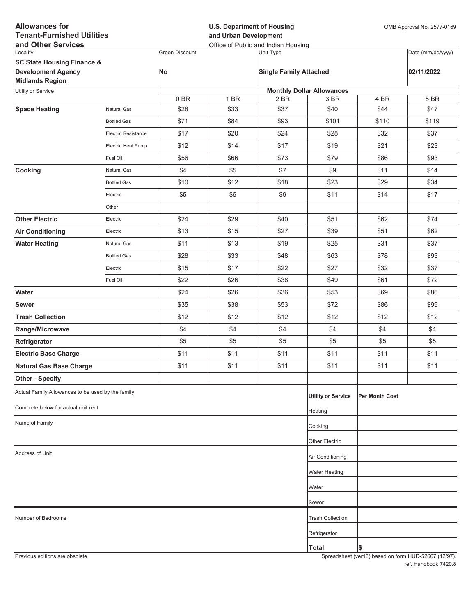| <b>Allowances for</b><br><b>Tenant-Furnished Utilities</b> |                     |                       | <b>U.S. Department of Housing</b><br>and Urban Development | OMB Approval No. 2577-0169                       |                                  |                       |                   |
|------------------------------------------------------------|---------------------|-----------------------|------------------------------------------------------------|--------------------------------------------------|----------------------------------|-----------------------|-------------------|
| and Other Services<br>Locality                             |                     | <b>Green Discount</b> |                                                            | Office of Public and Indian Housing<br>Unit Type |                                  |                       | Date (mm/dd/yyyy) |
| <b>SC State Housing Finance &amp;</b>                      |                     |                       |                                                            |                                                  |                                  |                       |                   |
| <b>Development Agency</b><br><b>Midlands Region</b>        |                     | No                    |                                                            | <b>Single Family Attached</b>                    |                                  |                       | 02/11/2022        |
| Utility or Service                                         |                     |                       |                                                            |                                                  | <b>Monthly Dollar Allowances</b> |                       |                   |
|                                                            |                     | 0BR                   | 1 BR                                                       | 2 BR                                             | 3 BR                             | 4 BR                  | 5 BR              |
| <b>Space Heating</b>                                       | <b>Natural Gas</b>  | \$28                  | \$33                                                       | \$37                                             | \$40                             | \$44                  | \$47              |
|                                                            | <b>Bottled Gas</b>  | \$71                  | \$84                                                       | \$93                                             | \$101                            | \$110                 | \$119             |
|                                                            | Electric Resistance | \$17                  | \$20                                                       | \$24                                             | \$28                             | \$32                  | \$37              |
|                                                            | Electric Heat Pump  | \$12                  | \$14                                                       | \$17                                             | \$19                             | \$21                  | \$23              |
|                                                            | Fuel Oil            | \$56                  | \$66                                                       | \$73                                             | \$79                             | \$86                  | \$93              |
| Cooking                                                    | Natural Gas         | \$4                   | \$5                                                        | \$7                                              | \$9                              | \$11                  | \$14              |
|                                                            | <b>Bottled Gas</b>  | \$10                  | \$12                                                       | \$18                                             | \$23                             | \$29                  | \$34              |
|                                                            | Electric            | \$5                   | \$6                                                        | \$9                                              | \$11                             | \$14                  | \$17              |
|                                                            | Other               |                       |                                                            |                                                  |                                  |                       |                   |
| <b>Other Electric</b>                                      | Electric            | \$24                  | \$29                                                       | \$40                                             | \$51                             | \$62                  | \$74              |
| <b>Air Conditioning</b>                                    | Electric            | \$13                  | \$15                                                       | \$27                                             | \$39                             | \$51                  | \$62              |
| <b>Water Heating</b>                                       | Natural Gas         | \$11                  | \$13                                                       | \$19                                             | \$25                             | \$31                  | \$37              |
|                                                            | <b>Bottled Gas</b>  | \$28                  | \$33                                                       | \$48                                             | \$63                             | \$78                  | \$93              |
|                                                            | Electric            | \$15                  | \$17                                                       | \$22                                             | \$27                             | \$32                  | \$37              |
|                                                            | Fuel Oil            | \$22                  | \$26                                                       | \$38                                             | \$49                             | \$61                  | \$72              |
| Water                                                      |                     | \$24                  | \$26                                                       | \$36                                             | \$53                             | \$69                  | \$86              |
| <b>Sewer</b>                                               |                     | \$35                  | \$38                                                       | \$53                                             | \$72                             | \$86                  | \$99              |
| <b>Trash Collection</b>                                    |                     | \$12                  | \$12                                                       | \$12                                             | \$12                             | \$12                  | \$12              |
| Range/Microwave                                            |                     | \$4                   | \$4                                                        | \$4                                              | \$4                              | \$4                   | \$4               |
| Refrigerator                                               |                     | \$5                   | \$5                                                        | \$5                                              | \$5                              | \$5                   | \$5               |
| <b>Electric Base Charge</b>                                |                     | \$11                  | \$11                                                       | \$11                                             | \$11                             | \$11                  | \$11              |
| <b>Natural Gas Base Charge</b>                             |                     | \$11                  | \$11                                                       | \$11                                             | \$11                             | \$11                  | \$11              |
| <b>Other - Specify</b>                                     |                     |                       |                                                            |                                                  |                                  |                       |                   |
| Actual Family Allowances to be used by the family          |                     |                       |                                                            |                                                  | <b>Utility or Service</b>        | <b>Per Month Cost</b> |                   |
| Complete below for actual unit rent                        |                     |                       |                                                            |                                                  | Heating                          |                       |                   |
| Name of Family                                             |                     |                       |                                                            |                                                  | Cooking                          |                       |                   |
|                                                            |                     |                       |                                                            |                                                  | Other Electric                   |                       |                   |
| Address of Unit                                            |                     |                       |                                                            |                                                  |                                  |                       |                   |
|                                                            |                     |                       |                                                            |                                                  | Air Conditioning                 |                       |                   |
|                                                            |                     |                       |                                                            |                                                  | <b>Water Heating</b>             |                       |                   |
|                                                            |                     |                       |                                                            |                                                  | Water                            |                       |                   |
|                                                            |                     |                       |                                                            |                                                  | Sewer                            |                       |                   |
| Number of Bedrooms                                         |                     |                       |                                                            |                                                  | <b>Trash Collection</b>          |                       |                   |
|                                                            |                     |                       |                                                            |                                                  | Refrigerator                     |                       |                   |
|                                                            |                     |                       |                                                            |                                                  | <b>Total</b>                     | Ι\$                   |                   |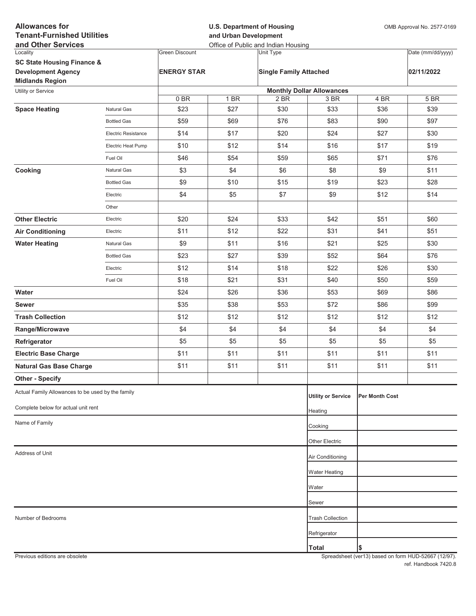| <b>Allowances for</b><br><b>Tenant-Furnished Utilities</b><br>and Other Services |                            |                       | <b>U.S. Department of Housing</b><br>and Urban Development<br>Office of Public and Indian Housing |                               |                                  |                       | OMB Approval No. 2577-0169 |  |
|----------------------------------------------------------------------------------|----------------------------|-----------------------|---------------------------------------------------------------------------------------------------|-------------------------------|----------------------------------|-----------------------|----------------------------|--|
| Locality                                                                         |                            | <b>Green Discount</b> |                                                                                                   | Unit Type                     |                                  |                       | Date (mm/dd/yyyy)          |  |
| <b>SC State Housing Finance &amp;</b>                                            |                            |                       |                                                                                                   |                               |                                  |                       |                            |  |
| <b>Development Agency</b>                                                        |                            | <b>ENERGY STAR</b>    |                                                                                                   | <b>Single Family Attached</b> |                                  |                       | 02/11/2022                 |  |
| <b>Midlands Region</b>                                                           |                            |                       |                                                                                                   |                               | <b>Monthly Dollar Allowances</b> |                       |                            |  |
| Utility or Service                                                               |                            | 0BR                   | 1 BR                                                                                              | 2 BR                          | 3 BR                             | 4 BR                  | 5 BR                       |  |
| <b>Space Heating</b>                                                             | <b>Natural Gas</b>         | \$23                  | \$27                                                                                              | \$30                          | \$33                             | \$36                  | \$39                       |  |
|                                                                                  | <b>Bottled Gas</b>         | \$59                  | \$69                                                                                              | \$76                          | \$83                             | \$90                  | \$97                       |  |
|                                                                                  | <b>Electric Resistance</b> | \$14                  | \$17                                                                                              | \$20                          | \$24                             | \$27                  | \$30                       |  |
|                                                                                  | Electric Heat Pump         | \$10                  | \$12                                                                                              | \$14                          | \$16                             | \$17                  | \$19                       |  |
|                                                                                  | Fuel Oil                   | \$46                  | \$54                                                                                              | \$59                          | \$65                             | \$71                  | \$76                       |  |
| Cooking                                                                          | <b>Natural Gas</b>         | \$3                   | \$4                                                                                               | \$6                           | \$8                              | \$9                   | \$11                       |  |
|                                                                                  | <b>Bottled Gas</b>         | \$9                   | \$10                                                                                              | \$15                          | \$19                             | \$23                  | \$28                       |  |
|                                                                                  | Electric                   | \$4                   | \$5                                                                                               | \$7                           | \$9                              | \$12                  | \$14                       |  |
|                                                                                  | Other                      |                       |                                                                                                   |                               |                                  |                       |                            |  |
| <b>Other Electric</b>                                                            | Electric                   | \$20                  | \$24                                                                                              | \$33                          | \$42                             | \$51                  | \$60                       |  |
| <b>Air Conditioning</b>                                                          | Electric                   | \$11                  | \$12                                                                                              | \$22                          | \$31                             | \$41                  | \$51                       |  |
| <b>Water Heating</b>                                                             | <b>Natural Gas</b>         | \$9                   | \$11                                                                                              | \$16                          | \$21                             | \$25                  | \$30                       |  |
|                                                                                  | <b>Bottled Gas</b>         | \$23                  | \$27                                                                                              | \$39                          | \$52                             | \$64                  | \$76                       |  |
|                                                                                  | Electric                   | \$12                  | \$14                                                                                              | \$18                          | \$22                             | \$26                  | \$30                       |  |
|                                                                                  | Fuel Oil                   | \$18                  | \$21                                                                                              | \$31                          | \$40                             | \$50                  | \$59                       |  |
| Water                                                                            |                            | \$24                  | \$26                                                                                              | \$36                          | \$53                             | \$69                  | \$86                       |  |
| <b>Sewer</b>                                                                     |                            | \$35                  | \$38                                                                                              | \$53                          | \$72                             | \$86                  | \$99                       |  |
| <b>Trash Collection</b>                                                          |                            | \$12                  | \$12                                                                                              | \$12                          | \$12                             | \$12                  | \$12                       |  |
| Range/Microwave                                                                  |                            | \$4                   | \$4                                                                                               | \$4                           | \$4                              | \$4                   | \$4                        |  |
| Refrigerator                                                                     |                            | \$5                   | \$5                                                                                               | \$5                           | \$5                              | \$5                   | \$5                        |  |
| <b>Electric Base Charge</b>                                                      |                            | \$11                  | \$11                                                                                              | \$11                          | \$11                             | \$11                  | \$11                       |  |
| <b>Natural Gas Base Charge</b>                                                   |                            | \$11                  | \$11                                                                                              | \$11                          | \$11                             | \$11                  | \$11                       |  |
| <b>Other - Specify</b>                                                           |                            |                       |                                                                                                   |                               |                                  |                       |                            |  |
| Actual Family Allowances to be used by the family                                |                            |                       |                                                                                                   |                               | <b>Utility or Service</b>        | <b>Per Month Cost</b> |                            |  |
| Complete below for actual unit rent                                              |                            |                       |                                                                                                   |                               | Heating                          |                       |                            |  |
| Name of Family                                                                   |                            |                       |                                                                                                   |                               | Cooking                          |                       |                            |  |
|                                                                                  |                            |                       |                                                                                                   |                               | Other Electric                   |                       |                            |  |
| Address of Unit                                                                  |                            |                       |                                                                                                   |                               | Air Conditioning                 |                       |                            |  |
|                                                                                  |                            |                       |                                                                                                   |                               | <b>Water Heating</b>             |                       |                            |  |
|                                                                                  |                            |                       |                                                                                                   |                               |                                  |                       |                            |  |
|                                                                                  |                            |                       |                                                                                                   |                               | Water                            |                       |                            |  |
|                                                                                  |                            |                       |                                                                                                   |                               | Sewer                            |                       |                            |  |
| Number of Bedrooms                                                               |                            |                       |                                                                                                   |                               | <b>Trash Collection</b>          |                       |                            |  |
|                                                                                  |                            |                       |                                                                                                   |                               | Refrigerator                     |                       |                            |  |
|                                                                                  |                            |                       |                                                                                                   |                               | <b>Total</b>                     | \$                    |                            |  |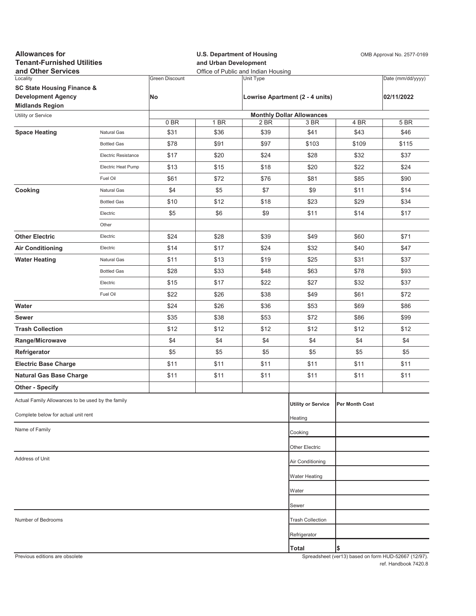| Locality<br><b>Green Discount</b><br>Unit Type<br>Date (mm/dd/yyyy)<br><b>SC State Housing Finance &amp;</b><br><b>Development Agency</b><br>No<br>Lowrise Apartment (2 - 4 units)<br>02/11/2022<br><b>Midlands Region</b><br><b>Monthly Dollar Allowances</b><br>Utility or Service<br>0BR<br>5 BR<br>1 BR<br>2 BR<br>3 BR<br>4 BR<br>\$36<br>\$39<br>\$41<br>\$43<br><b>Space Heating</b><br>Natural Gas<br>\$31<br>\$46<br>\$78<br>\$91<br>\$97<br>\$103<br>\$109<br>\$115<br><b>Bottled Gas</b><br>\$17<br>\$20<br>\$24<br>\$28<br>\$32<br>\$37<br>Electric Resistance<br>\$22<br>\$13<br>\$15<br>\$18<br>\$20<br>\$24<br>Electric Heat Pump<br>\$72<br>\$76<br>\$81<br>\$85<br>\$90<br>Fuel Oil<br>\$61<br>\$4<br>\$5<br>\$9<br>Cooking<br>\$7<br>\$11<br>\$14<br>Natural Gas<br>\$18<br>\$23<br>\$29<br>\$10<br>\$12<br>\$34<br><b>Bottled Gas</b><br>\$5<br>\$6<br>\$9<br>\$11<br>\$14<br>\$17<br>Electric<br>Other<br><b>Other Electric</b><br>\$24<br>\$28<br>\$39<br>\$49<br>\$60<br>\$71<br>Electric<br>\$14<br>\$17<br>\$24<br>\$32<br>\$40<br>\$47<br><b>Air Conditioning</b><br>Electric<br>\$11<br>\$13<br>\$19<br>\$25<br>\$31<br>\$37<br><b>Water Heating</b><br>Natural Gas<br>\$33<br>\$48<br>\$78<br>\$93<br><b>Bottled Gas</b><br>\$28<br>\$63<br>\$15<br>\$17<br>\$22<br>\$27<br>\$32<br>\$37<br>Electric<br>\$22<br>\$26<br>\$38<br>\$49<br>\$61<br>\$72<br>Fuel Oil<br>Water<br>\$24<br>\$26<br>\$36<br>\$53<br>\$69<br>\$86<br>\$35<br>\$38<br>\$53<br>\$72<br>\$86<br>\$99<br>Sewer<br>\$12<br><b>Trash Collection</b><br>\$12<br>\$12<br>\$12<br>\$12<br>\$12<br>\$4<br>\$4<br>\$4<br>\$4<br>\$4<br>\$4<br>Range/Microwave<br>Refrigerator<br>\$5<br>\$5<br>\$5<br>\$5<br>\$5<br>\$5<br>\$11<br>\$11<br>\$11<br><b>Electric Base Charge</b><br>\$11<br>\$11<br>\$11<br><b>Natural Gas Base Charge</b><br>\$11<br>\$11<br>\$11<br>\$11<br>\$11<br>\$11<br><b>Other - Specify</b><br>Actual Family Allowances to be used by the family<br><b>Utility or Service</b><br>Per Month Cost<br>Complete below for actual unit rent<br>Heating<br>Name of Family<br>Cooking<br>Other Electric<br>Address of Unit<br>Air Conditioning<br><b>Water Heating</b><br>Water<br>Sewer<br><b>Trash Collection</b><br>Number of Bedrooms<br>Refrigerator<br>Total<br>\$<br>Previous editions are obsolete<br>Spreadsheet (ver13) based on form HUD-52667 (12/97) | <b>Allowances for</b><br><b>Tenant-Furnished Utilities</b><br>and Other Services |  |  | <b>U.S. Department of Housing</b><br>OMB Approval No. 2577-0169<br>and Urban Development<br>Office of Public and Indian Housing |  |  |  |  |
|---------------------------------------------------------------------------------------------------------------------------------------------------------------------------------------------------------------------------------------------------------------------------------------------------------------------------------------------------------------------------------------------------------------------------------------------------------------------------------------------------------------------------------------------------------------------------------------------------------------------------------------------------------------------------------------------------------------------------------------------------------------------------------------------------------------------------------------------------------------------------------------------------------------------------------------------------------------------------------------------------------------------------------------------------------------------------------------------------------------------------------------------------------------------------------------------------------------------------------------------------------------------------------------------------------------------------------------------------------------------------------------------------------------------------------------------------------------------------------------------------------------------------------------------------------------------------------------------------------------------------------------------------------------------------------------------------------------------------------------------------------------------------------------------------------------------------------------------------------------------------------------------------------------------------------------------------------------------------------------------------------------------------------------------------------------------------------------------------------------------------------------------------------------------------------------------------------------------------------------------------------------------------------------------------------------------------------------------------------------------------|----------------------------------------------------------------------------------|--|--|---------------------------------------------------------------------------------------------------------------------------------|--|--|--|--|
|                                                                                                                                                                                                                                                                                                                                                                                                                                                                                                                                                                                                                                                                                                                                                                                                                                                                                                                                                                                                                                                                                                                                                                                                                                                                                                                                                                                                                                                                                                                                                                                                                                                                                                                                                                                                                                                                                                                                                                                                                                                                                                                                                                                                                                                                                                                                                                           |                                                                                  |  |  |                                                                                                                                 |  |  |  |  |
|                                                                                                                                                                                                                                                                                                                                                                                                                                                                                                                                                                                                                                                                                                                                                                                                                                                                                                                                                                                                                                                                                                                                                                                                                                                                                                                                                                                                                                                                                                                                                                                                                                                                                                                                                                                                                                                                                                                                                                                                                                                                                                                                                                                                                                                                                                                                                                           |                                                                                  |  |  |                                                                                                                                 |  |  |  |  |
|                                                                                                                                                                                                                                                                                                                                                                                                                                                                                                                                                                                                                                                                                                                                                                                                                                                                                                                                                                                                                                                                                                                                                                                                                                                                                                                                                                                                                                                                                                                                                                                                                                                                                                                                                                                                                                                                                                                                                                                                                                                                                                                                                                                                                                                                                                                                                                           |                                                                                  |  |  |                                                                                                                                 |  |  |  |  |
|                                                                                                                                                                                                                                                                                                                                                                                                                                                                                                                                                                                                                                                                                                                                                                                                                                                                                                                                                                                                                                                                                                                                                                                                                                                                                                                                                                                                                                                                                                                                                                                                                                                                                                                                                                                                                                                                                                                                                                                                                                                                                                                                                                                                                                                                                                                                                                           |                                                                                  |  |  |                                                                                                                                 |  |  |  |  |
|                                                                                                                                                                                                                                                                                                                                                                                                                                                                                                                                                                                                                                                                                                                                                                                                                                                                                                                                                                                                                                                                                                                                                                                                                                                                                                                                                                                                                                                                                                                                                                                                                                                                                                                                                                                                                                                                                                                                                                                                                                                                                                                                                                                                                                                                                                                                                                           |                                                                                  |  |  |                                                                                                                                 |  |  |  |  |
|                                                                                                                                                                                                                                                                                                                                                                                                                                                                                                                                                                                                                                                                                                                                                                                                                                                                                                                                                                                                                                                                                                                                                                                                                                                                                                                                                                                                                                                                                                                                                                                                                                                                                                                                                                                                                                                                                                                                                                                                                                                                                                                                                                                                                                                                                                                                                                           |                                                                                  |  |  |                                                                                                                                 |  |  |  |  |
|                                                                                                                                                                                                                                                                                                                                                                                                                                                                                                                                                                                                                                                                                                                                                                                                                                                                                                                                                                                                                                                                                                                                                                                                                                                                                                                                                                                                                                                                                                                                                                                                                                                                                                                                                                                                                                                                                                                                                                                                                                                                                                                                                                                                                                                                                                                                                                           |                                                                                  |  |  |                                                                                                                                 |  |  |  |  |
|                                                                                                                                                                                                                                                                                                                                                                                                                                                                                                                                                                                                                                                                                                                                                                                                                                                                                                                                                                                                                                                                                                                                                                                                                                                                                                                                                                                                                                                                                                                                                                                                                                                                                                                                                                                                                                                                                                                                                                                                                                                                                                                                                                                                                                                                                                                                                                           |                                                                                  |  |  |                                                                                                                                 |  |  |  |  |
|                                                                                                                                                                                                                                                                                                                                                                                                                                                                                                                                                                                                                                                                                                                                                                                                                                                                                                                                                                                                                                                                                                                                                                                                                                                                                                                                                                                                                                                                                                                                                                                                                                                                                                                                                                                                                                                                                                                                                                                                                                                                                                                                                                                                                                                                                                                                                                           |                                                                                  |  |  |                                                                                                                                 |  |  |  |  |
|                                                                                                                                                                                                                                                                                                                                                                                                                                                                                                                                                                                                                                                                                                                                                                                                                                                                                                                                                                                                                                                                                                                                                                                                                                                                                                                                                                                                                                                                                                                                                                                                                                                                                                                                                                                                                                                                                                                                                                                                                                                                                                                                                                                                                                                                                                                                                                           |                                                                                  |  |  |                                                                                                                                 |  |  |  |  |
|                                                                                                                                                                                                                                                                                                                                                                                                                                                                                                                                                                                                                                                                                                                                                                                                                                                                                                                                                                                                                                                                                                                                                                                                                                                                                                                                                                                                                                                                                                                                                                                                                                                                                                                                                                                                                                                                                                                                                                                                                                                                                                                                                                                                                                                                                                                                                                           |                                                                                  |  |  |                                                                                                                                 |  |  |  |  |
|                                                                                                                                                                                                                                                                                                                                                                                                                                                                                                                                                                                                                                                                                                                                                                                                                                                                                                                                                                                                                                                                                                                                                                                                                                                                                                                                                                                                                                                                                                                                                                                                                                                                                                                                                                                                                                                                                                                                                                                                                                                                                                                                                                                                                                                                                                                                                                           |                                                                                  |  |  |                                                                                                                                 |  |  |  |  |
|                                                                                                                                                                                                                                                                                                                                                                                                                                                                                                                                                                                                                                                                                                                                                                                                                                                                                                                                                                                                                                                                                                                                                                                                                                                                                                                                                                                                                                                                                                                                                                                                                                                                                                                                                                                                                                                                                                                                                                                                                                                                                                                                                                                                                                                                                                                                                                           |                                                                                  |  |  |                                                                                                                                 |  |  |  |  |
|                                                                                                                                                                                                                                                                                                                                                                                                                                                                                                                                                                                                                                                                                                                                                                                                                                                                                                                                                                                                                                                                                                                                                                                                                                                                                                                                                                                                                                                                                                                                                                                                                                                                                                                                                                                                                                                                                                                                                                                                                                                                                                                                                                                                                                                                                                                                                                           |                                                                                  |  |  |                                                                                                                                 |  |  |  |  |
|                                                                                                                                                                                                                                                                                                                                                                                                                                                                                                                                                                                                                                                                                                                                                                                                                                                                                                                                                                                                                                                                                                                                                                                                                                                                                                                                                                                                                                                                                                                                                                                                                                                                                                                                                                                                                                                                                                                                                                                                                                                                                                                                                                                                                                                                                                                                                                           |                                                                                  |  |  |                                                                                                                                 |  |  |  |  |
|                                                                                                                                                                                                                                                                                                                                                                                                                                                                                                                                                                                                                                                                                                                                                                                                                                                                                                                                                                                                                                                                                                                                                                                                                                                                                                                                                                                                                                                                                                                                                                                                                                                                                                                                                                                                                                                                                                                                                                                                                                                                                                                                                                                                                                                                                                                                                                           |                                                                                  |  |  |                                                                                                                                 |  |  |  |  |
|                                                                                                                                                                                                                                                                                                                                                                                                                                                                                                                                                                                                                                                                                                                                                                                                                                                                                                                                                                                                                                                                                                                                                                                                                                                                                                                                                                                                                                                                                                                                                                                                                                                                                                                                                                                                                                                                                                                                                                                                                                                                                                                                                                                                                                                                                                                                                                           |                                                                                  |  |  |                                                                                                                                 |  |  |  |  |
|                                                                                                                                                                                                                                                                                                                                                                                                                                                                                                                                                                                                                                                                                                                                                                                                                                                                                                                                                                                                                                                                                                                                                                                                                                                                                                                                                                                                                                                                                                                                                                                                                                                                                                                                                                                                                                                                                                                                                                                                                                                                                                                                                                                                                                                                                                                                                                           |                                                                                  |  |  |                                                                                                                                 |  |  |  |  |
|                                                                                                                                                                                                                                                                                                                                                                                                                                                                                                                                                                                                                                                                                                                                                                                                                                                                                                                                                                                                                                                                                                                                                                                                                                                                                                                                                                                                                                                                                                                                                                                                                                                                                                                                                                                                                                                                                                                                                                                                                                                                                                                                                                                                                                                                                                                                                                           |                                                                                  |  |  |                                                                                                                                 |  |  |  |  |
|                                                                                                                                                                                                                                                                                                                                                                                                                                                                                                                                                                                                                                                                                                                                                                                                                                                                                                                                                                                                                                                                                                                                                                                                                                                                                                                                                                                                                                                                                                                                                                                                                                                                                                                                                                                                                                                                                                                                                                                                                                                                                                                                                                                                                                                                                                                                                                           |                                                                                  |  |  |                                                                                                                                 |  |  |  |  |
|                                                                                                                                                                                                                                                                                                                                                                                                                                                                                                                                                                                                                                                                                                                                                                                                                                                                                                                                                                                                                                                                                                                                                                                                                                                                                                                                                                                                                                                                                                                                                                                                                                                                                                                                                                                                                                                                                                                                                                                                                                                                                                                                                                                                                                                                                                                                                                           |                                                                                  |  |  |                                                                                                                                 |  |  |  |  |
|                                                                                                                                                                                                                                                                                                                                                                                                                                                                                                                                                                                                                                                                                                                                                                                                                                                                                                                                                                                                                                                                                                                                                                                                                                                                                                                                                                                                                                                                                                                                                                                                                                                                                                                                                                                                                                                                                                                                                                                                                                                                                                                                                                                                                                                                                                                                                                           |                                                                                  |  |  |                                                                                                                                 |  |  |  |  |
|                                                                                                                                                                                                                                                                                                                                                                                                                                                                                                                                                                                                                                                                                                                                                                                                                                                                                                                                                                                                                                                                                                                                                                                                                                                                                                                                                                                                                                                                                                                                                                                                                                                                                                                                                                                                                                                                                                                                                                                                                                                                                                                                                                                                                                                                                                                                                                           |                                                                                  |  |  |                                                                                                                                 |  |  |  |  |
|                                                                                                                                                                                                                                                                                                                                                                                                                                                                                                                                                                                                                                                                                                                                                                                                                                                                                                                                                                                                                                                                                                                                                                                                                                                                                                                                                                                                                                                                                                                                                                                                                                                                                                                                                                                                                                                                                                                                                                                                                                                                                                                                                                                                                                                                                                                                                                           |                                                                                  |  |  |                                                                                                                                 |  |  |  |  |
|                                                                                                                                                                                                                                                                                                                                                                                                                                                                                                                                                                                                                                                                                                                                                                                                                                                                                                                                                                                                                                                                                                                                                                                                                                                                                                                                                                                                                                                                                                                                                                                                                                                                                                                                                                                                                                                                                                                                                                                                                                                                                                                                                                                                                                                                                                                                                                           |                                                                                  |  |  |                                                                                                                                 |  |  |  |  |
|                                                                                                                                                                                                                                                                                                                                                                                                                                                                                                                                                                                                                                                                                                                                                                                                                                                                                                                                                                                                                                                                                                                                                                                                                                                                                                                                                                                                                                                                                                                                                                                                                                                                                                                                                                                                                                                                                                                                                                                                                                                                                                                                                                                                                                                                                                                                                                           |                                                                                  |  |  |                                                                                                                                 |  |  |  |  |
|                                                                                                                                                                                                                                                                                                                                                                                                                                                                                                                                                                                                                                                                                                                                                                                                                                                                                                                                                                                                                                                                                                                                                                                                                                                                                                                                                                                                                                                                                                                                                                                                                                                                                                                                                                                                                                                                                                                                                                                                                                                                                                                                                                                                                                                                                                                                                                           |                                                                                  |  |  |                                                                                                                                 |  |  |  |  |
|                                                                                                                                                                                                                                                                                                                                                                                                                                                                                                                                                                                                                                                                                                                                                                                                                                                                                                                                                                                                                                                                                                                                                                                                                                                                                                                                                                                                                                                                                                                                                                                                                                                                                                                                                                                                                                                                                                                                                                                                                                                                                                                                                                                                                                                                                                                                                                           |                                                                                  |  |  |                                                                                                                                 |  |  |  |  |
|                                                                                                                                                                                                                                                                                                                                                                                                                                                                                                                                                                                                                                                                                                                                                                                                                                                                                                                                                                                                                                                                                                                                                                                                                                                                                                                                                                                                                                                                                                                                                                                                                                                                                                                                                                                                                                                                                                                                                                                                                                                                                                                                                                                                                                                                                                                                                                           |                                                                                  |  |  |                                                                                                                                 |  |  |  |  |
|                                                                                                                                                                                                                                                                                                                                                                                                                                                                                                                                                                                                                                                                                                                                                                                                                                                                                                                                                                                                                                                                                                                                                                                                                                                                                                                                                                                                                                                                                                                                                                                                                                                                                                                                                                                                                                                                                                                                                                                                                                                                                                                                                                                                                                                                                                                                                                           |                                                                                  |  |  |                                                                                                                                 |  |  |  |  |
|                                                                                                                                                                                                                                                                                                                                                                                                                                                                                                                                                                                                                                                                                                                                                                                                                                                                                                                                                                                                                                                                                                                                                                                                                                                                                                                                                                                                                                                                                                                                                                                                                                                                                                                                                                                                                                                                                                                                                                                                                                                                                                                                                                                                                                                                                                                                                                           |                                                                                  |  |  |                                                                                                                                 |  |  |  |  |
|                                                                                                                                                                                                                                                                                                                                                                                                                                                                                                                                                                                                                                                                                                                                                                                                                                                                                                                                                                                                                                                                                                                                                                                                                                                                                                                                                                                                                                                                                                                                                                                                                                                                                                                                                                                                                                                                                                                                                                                                                                                                                                                                                                                                                                                                                                                                                                           |                                                                                  |  |  |                                                                                                                                 |  |  |  |  |
|                                                                                                                                                                                                                                                                                                                                                                                                                                                                                                                                                                                                                                                                                                                                                                                                                                                                                                                                                                                                                                                                                                                                                                                                                                                                                                                                                                                                                                                                                                                                                                                                                                                                                                                                                                                                                                                                                                                                                                                                                                                                                                                                                                                                                                                                                                                                                                           |                                                                                  |  |  |                                                                                                                                 |  |  |  |  |
|                                                                                                                                                                                                                                                                                                                                                                                                                                                                                                                                                                                                                                                                                                                                                                                                                                                                                                                                                                                                                                                                                                                                                                                                                                                                                                                                                                                                                                                                                                                                                                                                                                                                                                                                                                                                                                                                                                                                                                                                                                                                                                                                                                                                                                                                                                                                                                           |                                                                                  |  |  |                                                                                                                                 |  |  |  |  |
|                                                                                                                                                                                                                                                                                                                                                                                                                                                                                                                                                                                                                                                                                                                                                                                                                                                                                                                                                                                                                                                                                                                                                                                                                                                                                                                                                                                                                                                                                                                                                                                                                                                                                                                                                                                                                                                                                                                                                                                                                                                                                                                                                                                                                                                                                                                                                                           |                                                                                  |  |  |                                                                                                                                 |  |  |  |  |
|                                                                                                                                                                                                                                                                                                                                                                                                                                                                                                                                                                                                                                                                                                                                                                                                                                                                                                                                                                                                                                                                                                                                                                                                                                                                                                                                                                                                                                                                                                                                                                                                                                                                                                                                                                                                                                                                                                                                                                                                                                                                                                                                                                                                                                                                                                                                                                           |                                                                                  |  |  |                                                                                                                                 |  |  |  |  |
|                                                                                                                                                                                                                                                                                                                                                                                                                                                                                                                                                                                                                                                                                                                                                                                                                                                                                                                                                                                                                                                                                                                                                                                                                                                                                                                                                                                                                                                                                                                                                                                                                                                                                                                                                                                                                                                                                                                                                                                                                                                                                                                                                                                                                                                                                                                                                                           |                                                                                  |  |  |                                                                                                                                 |  |  |  |  |
|                                                                                                                                                                                                                                                                                                                                                                                                                                                                                                                                                                                                                                                                                                                                                                                                                                                                                                                                                                                                                                                                                                                                                                                                                                                                                                                                                                                                                                                                                                                                                                                                                                                                                                                                                                                                                                                                                                                                                                                                                                                                                                                                                                                                                                                                                                                                                                           |                                                                                  |  |  |                                                                                                                                 |  |  |  |  |
|                                                                                                                                                                                                                                                                                                                                                                                                                                                                                                                                                                                                                                                                                                                                                                                                                                                                                                                                                                                                                                                                                                                                                                                                                                                                                                                                                                                                                                                                                                                                                                                                                                                                                                                                                                                                                                                                                                                                                                                                                                                                                                                                                                                                                                                                                                                                                                           |                                                                                  |  |  |                                                                                                                                 |  |  |  |  |
|                                                                                                                                                                                                                                                                                                                                                                                                                                                                                                                                                                                                                                                                                                                                                                                                                                                                                                                                                                                                                                                                                                                                                                                                                                                                                                                                                                                                                                                                                                                                                                                                                                                                                                                                                                                                                                                                                                                                                                                                                                                                                                                                                                                                                                                                                                                                                                           |                                                                                  |  |  |                                                                                                                                 |  |  |  |  |
|                                                                                                                                                                                                                                                                                                                                                                                                                                                                                                                                                                                                                                                                                                                                                                                                                                                                                                                                                                                                                                                                                                                                                                                                                                                                                                                                                                                                                                                                                                                                                                                                                                                                                                                                                                                                                                                                                                                                                                                                                                                                                                                                                                                                                                                                                                                                                                           |                                                                                  |  |  |                                                                                                                                 |  |  |  |  |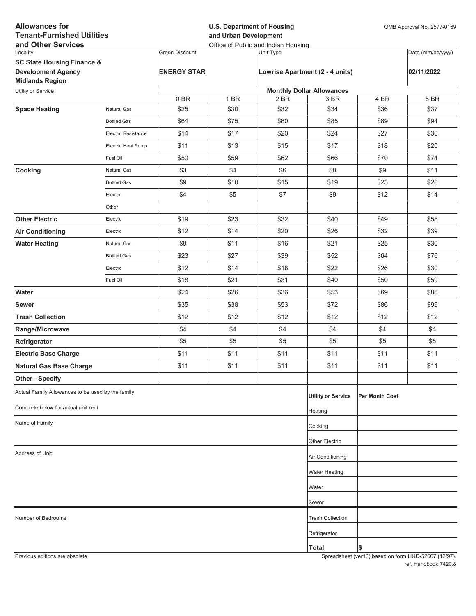| <b>Allowances for</b><br><b>Tenant-Furnished Utilities</b><br>and Other Services |                     |                       | <b>U.S. Department of Housing</b><br>and Urban Development<br>Office of Public and Indian Housing |                  |                                  |                | OMB Approval No. 2577-0169 |  |
|----------------------------------------------------------------------------------|---------------------|-----------------------|---------------------------------------------------------------------------------------------------|------------------|----------------------------------|----------------|----------------------------|--|
| Locality                                                                         |                     | <b>Green Discount</b> |                                                                                                   | <b>Unit Type</b> |                                  |                | Date (mm/dd/yyyy)          |  |
| <b>SC State Housing Finance &amp;</b>                                            |                     |                       |                                                                                                   |                  |                                  |                |                            |  |
| <b>Development Agency</b>                                                        |                     | <b>ENERGY STAR</b>    |                                                                                                   |                  | Lowrise Apartment (2 - 4 units)  |                | 02/11/2022                 |  |
| <b>Midlands Region</b><br>Utility or Service                                     |                     |                       |                                                                                                   |                  | <b>Monthly Dollar Allowances</b> |                |                            |  |
|                                                                                  |                     | 0BR                   | 1 BR                                                                                              | 2 BR             | 3 BR                             | 4 BR           | 5 BR                       |  |
| <b>Space Heating</b>                                                             | Natural Gas         | \$25                  | \$30                                                                                              | \$32             | \$34                             | \$36           | \$37                       |  |
|                                                                                  | <b>Bottled Gas</b>  | \$64                  | \$75                                                                                              | \$80             | \$85                             | \$89           | \$94                       |  |
|                                                                                  | Electric Resistance | \$14                  | \$17                                                                                              | \$20             | \$24                             | \$27           | \$30                       |  |
|                                                                                  | Electric Heat Pump  | \$11                  | \$13                                                                                              | \$15             | \$17                             | \$18           | \$20                       |  |
|                                                                                  | Fuel Oil            | \$50                  | \$59                                                                                              | \$62             | \$66                             | \$70           | \$74                       |  |
| Cooking                                                                          | Natural Gas         | \$3                   | \$4                                                                                               | \$6              | \$8                              | \$9            | \$11                       |  |
|                                                                                  | <b>Bottled Gas</b>  | \$9                   | \$10                                                                                              | \$15             | \$19                             | \$23           | \$28                       |  |
|                                                                                  | Electric            | \$4                   | \$5                                                                                               | \$7              | \$9                              | \$12           | \$14                       |  |
|                                                                                  | Other               |                       |                                                                                                   |                  |                                  |                |                            |  |
| <b>Other Electric</b>                                                            | Electric            | \$19                  | \$23                                                                                              | \$32             | \$40                             | \$49           | \$58                       |  |
| <b>Air Conditioning</b>                                                          | Electric            | \$12                  | \$14                                                                                              | \$20             | \$26                             | \$32           | \$39                       |  |
| <b>Water Heating</b>                                                             | Natural Gas         | \$9                   | \$11                                                                                              | \$16             | \$21                             | \$25           | \$30                       |  |
|                                                                                  | <b>Bottled Gas</b>  | \$23                  | \$27                                                                                              | \$39             | \$52                             | \$64           | \$76                       |  |
|                                                                                  | Electric            | \$12                  | \$14                                                                                              | \$18             | \$22                             | \$26           | \$30                       |  |
|                                                                                  | Fuel Oil            | \$18                  | \$21                                                                                              | \$31             | \$40                             | \$50           | \$59                       |  |
| Water                                                                            |                     | \$24                  | \$26                                                                                              | \$36             | \$53                             | \$69           | \$86                       |  |
| <b>Sewer</b>                                                                     |                     | \$35                  | \$38                                                                                              | \$53             | \$72                             | \$86           | \$99                       |  |
| <b>Trash Collection</b>                                                          |                     | \$12                  | \$12                                                                                              | \$12             | \$12                             | \$12           | \$12                       |  |
| Range/Microwave                                                                  |                     | \$4                   | \$4                                                                                               | \$4              | \$4                              | \$4            | \$4                        |  |
| Refrigerator                                                                     |                     | \$5                   | \$5                                                                                               | \$5              | \$5                              | \$5            | \$5                        |  |
| <b>Electric Base Charge</b>                                                      |                     | \$11                  | \$11                                                                                              | \$11             | \$11                             | \$11           | \$11                       |  |
| <b>Natural Gas Base Charge</b>                                                   |                     | \$11                  | \$11                                                                                              | \$11             | \$11                             | \$11           | \$11                       |  |
| <b>Other - Specify</b>                                                           |                     |                       |                                                                                                   |                  |                                  |                |                            |  |
| Actual Family Allowances to be used by the family                                |                     |                       |                                                                                                   |                  | <b>Utility or Service</b>        | Per Month Cost |                            |  |
| Complete below for actual unit rent                                              |                     |                       |                                                                                                   |                  | Heating                          |                |                            |  |
| Name of Family                                                                   |                     |                       |                                                                                                   |                  | Cooking                          |                |                            |  |
|                                                                                  |                     |                       |                                                                                                   |                  |                                  |                |                            |  |
|                                                                                  |                     |                       |                                                                                                   |                  | Other Electric                   |                |                            |  |
| Address of Unit                                                                  |                     |                       |                                                                                                   |                  | Air Conditioning                 |                |                            |  |
|                                                                                  |                     |                       |                                                                                                   |                  | Water Heating                    |                |                            |  |
|                                                                                  |                     |                       |                                                                                                   |                  | Water                            |                |                            |  |
|                                                                                  |                     |                       |                                                                                                   |                  | Sewer                            |                |                            |  |
| Number of Bedrooms                                                               |                     |                       |                                                                                                   |                  | <b>Trash Collection</b>          |                |                            |  |
|                                                                                  |                     |                       |                                                                                                   |                  | Refrigerator                     |                |                            |  |
|                                                                                  |                     |                       |                                                                                                   |                  | <b>Total</b>                     | \$             |                            |  |
|                                                                                  |                     |                       |                                                                                                   |                  |                                  |                |                            |  |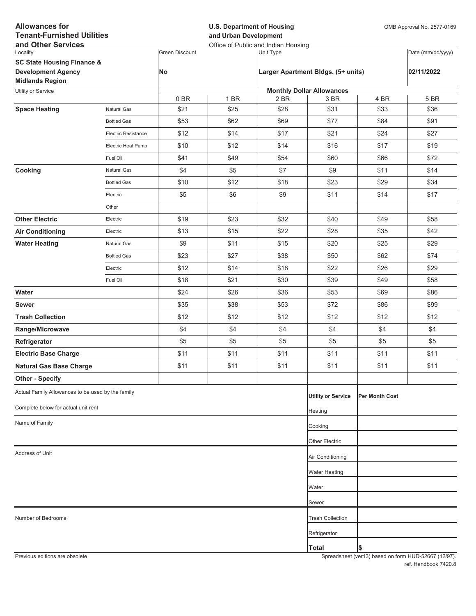| <b>Allowances for</b><br><b>Tenant-Furnished Utilities</b><br>and Other Services             |                     |                       | <b>U.S. Department of Housing</b><br>and Urban Development<br>Office of Public and Indian Housing |           |                                    |                | OMB Approval No. 2577-0169 |  |
|----------------------------------------------------------------------------------------------|---------------------|-----------------------|---------------------------------------------------------------------------------------------------|-----------|------------------------------------|----------------|----------------------------|--|
| Locality                                                                                     |                     | <b>Green Discount</b> |                                                                                                   | Unit Type |                                    |                | Date (mm/dd/yyyy)          |  |
| <b>SC State Housing Finance &amp;</b><br><b>Development Agency</b><br><b>Midlands Region</b> |                     | No                    |                                                                                                   |           | Larger Apartment Bldgs. (5+ units) |                | 02/11/2022                 |  |
| Utility or Service                                                                           |                     |                       |                                                                                                   |           | <b>Monthly Dollar Allowances</b>   |                |                            |  |
|                                                                                              |                     | 0BR                   | 1 BR                                                                                              | 2 BR      | 3 BR                               | 4 BR           | 5 BR                       |  |
| <b>Space Heating</b>                                                                         | <b>Natural Gas</b>  | \$21                  | \$25                                                                                              | \$28      | \$31                               | \$33           | \$36                       |  |
|                                                                                              | <b>Bottled Gas</b>  | \$53                  | \$62                                                                                              | \$69      | \$77                               | \$84           | \$91                       |  |
|                                                                                              | Electric Resistance | \$12                  | \$14                                                                                              | \$17      | \$21                               | \$24           | \$27                       |  |
|                                                                                              | Electric Heat Pump  | \$10                  | \$12                                                                                              | \$14      | \$16                               | \$17           | \$19                       |  |
|                                                                                              | Fuel Oil            | \$41                  | \$49                                                                                              | \$54      | \$60                               | \$66           | \$72                       |  |
| Cooking                                                                                      | Natural Gas         | \$4                   | \$5                                                                                               | \$7       | \$9                                | \$11           | \$14                       |  |
|                                                                                              | <b>Bottled Gas</b>  | \$10                  | \$12                                                                                              | \$18      | \$23                               | \$29           | \$34                       |  |
|                                                                                              | Electric            | \$5                   | \$6                                                                                               | \$9       | \$11                               | \$14           | \$17                       |  |
|                                                                                              | Other               |                       |                                                                                                   |           |                                    |                |                            |  |
| <b>Other Electric</b>                                                                        | Electric            | \$19                  | \$23                                                                                              | \$32      | \$40                               | \$49           | \$58                       |  |
| <b>Air Conditioning</b>                                                                      | Electric            | \$13                  | \$15                                                                                              | \$22      | \$28                               | \$35           | \$42                       |  |
| <b>Water Heating</b>                                                                         | Natural Gas         | \$9                   | \$11                                                                                              | \$15      | \$20                               | \$25           | \$29                       |  |
|                                                                                              | <b>Bottled Gas</b>  | \$23                  | \$27                                                                                              | \$38      | \$50                               | \$62           | \$74                       |  |
|                                                                                              | Electric            | \$12                  | \$14                                                                                              | \$18      | \$22                               | \$26           | \$29                       |  |
|                                                                                              | Fuel Oil            | \$18                  | \$21                                                                                              | \$30      | \$39                               | \$49           | \$58                       |  |
| Water                                                                                        |                     | \$24                  | \$26                                                                                              | \$36      | \$53                               | \$69           | \$86                       |  |
| <b>Sewer</b>                                                                                 |                     | \$35                  | \$38                                                                                              | \$53      | \$72                               | \$86           | \$99                       |  |
| <b>Trash Collection</b>                                                                      |                     | \$12                  | \$12                                                                                              | \$12      | \$12                               | \$12           | \$12                       |  |
| Range/Microwave                                                                              |                     | \$4                   | \$4                                                                                               | \$4       | \$4                                | \$4            | \$4                        |  |
| Refrigerator                                                                                 |                     | \$5                   | \$5                                                                                               | \$5       | \$5                                | \$5            | \$5                        |  |
| <b>Electric Base Charge</b>                                                                  |                     | \$11                  | \$11                                                                                              | \$11      | \$11                               | \$11           | \$11                       |  |
| <b>Natural Gas Base Charge</b>                                                               |                     | \$11                  | \$11                                                                                              | \$11      | \$11                               | \$11           | \$11                       |  |
| <b>Other - Specify</b>                                                                       |                     |                       |                                                                                                   |           |                                    |                |                            |  |
| Actual Family Allowances to be used by the family                                            |                     |                       |                                                                                                   |           | <b>Utility or Service</b>          | Per Month Cost |                            |  |
| Complete below for actual unit rent                                                          |                     |                       |                                                                                                   |           | Heating                            |                |                            |  |
| Name of Family                                                                               |                     |                       |                                                                                                   |           | Cooking                            |                |                            |  |
|                                                                                              |                     |                       |                                                                                                   |           |                                    |                |                            |  |
| Address of Unit                                                                              |                     |                       |                                                                                                   |           | Other Electric                     |                |                            |  |
|                                                                                              |                     |                       |                                                                                                   |           | Air Conditioning                   |                |                            |  |
|                                                                                              |                     |                       |                                                                                                   |           | <b>Water Heating</b>               |                |                            |  |
|                                                                                              |                     |                       |                                                                                                   |           | Water                              |                |                            |  |
|                                                                                              |                     |                       |                                                                                                   |           | Sewer                              |                |                            |  |
| Number of Bedrooms                                                                           |                     |                       |                                                                                                   |           | <b>Trash Collection</b>            |                |                            |  |
|                                                                                              |                     |                       |                                                                                                   |           | Refrigerator                       |                |                            |  |
|                                                                                              |                     |                       |                                                                                                   |           | <b>Total</b>                       | Ι\$            |                            |  |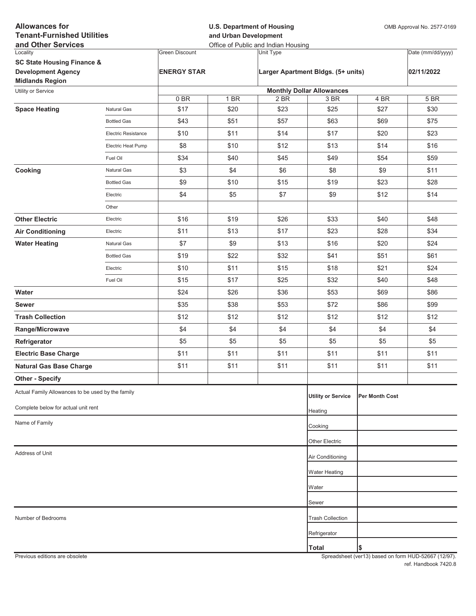| <b>Allowances for</b><br><b>Tenant-Furnished Utilities</b><br>and Other Services |                            |                       | <b>U.S. Department of Housing</b><br>and Urban Development<br>Office of Public and Indian Housing |                  |                                    |                | OMB Approval No. 2577-0169 |  |
|----------------------------------------------------------------------------------|----------------------------|-----------------------|---------------------------------------------------------------------------------------------------|------------------|------------------------------------|----------------|----------------------------|--|
| Locality                                                                         |                            | <b>Green Discount</b> |                                                                                                   | <b>Unit Type</b> |                                    |                | Date (mm/dd/yyyy)          |  |
| <b>SC State Housing Finance &amp;</b>                                            |                            |                       |                                                                                                   |                  |                                    |                |                            |  |
| <b>Development Agency</b>                                                        |                            | <b>ENERGY STAR</b>    |                                                                                                   |                  | Larger Apartment Bldgs. (5+ units) |                | 02/11/2022                 |  |
| <b>Midlands Region</b><br>Utility or Service                                     |                            |                       |                                                                                                   |                  | <b>Monthly Dollar Allowances</b>   |                |                            |  |
|                                                                                  |                            | 0BR                   | 1 BR                                                                                              | 2 BR             | 3 BR                               | 4 BR           | 5 BR                       |  |
| <b>Space Heating</b>                                                             | Natural Gas                | \$17                  | \$20                                                                                              | \$23             | \$25                               | \$27           | \$30                       |  |
|                                                                                  | <b>Bottled Gas</b>         | \$43                  | \$51                                                                                              | \$57             | \$63                               | \$69           | \$75                       |  |
|                                                                                  | <b>Electric Resistance</b> | \$10                  | \$11                                                                                              | \$14             | \$17                               | \$20           | \$23                       |  |
|                                                                                  | Electric Heat Pump         | \$8                   | \$10                                                                                              | \$12             | \$13                               | \$14           | \$16                       |  |
|                                                                                  | Fuel Oil                   | \$34                  | \$40                                                                                              | \$45             | \$49                               | \$54           | \$59                       |  |
| Cooking                                                                          | Natural Gas                | \$3                   | \$4                                                                                               | \$6              | \$8                                | \$9            | \$11                       |  |
|                                                                                  | <b>Bottled Gas</b>         | \$9                   | \$10                                                                                              | \$15             | \$19                               | \$23           | \$28                       |  |
|                                                                                  | Electric                   | \$4                   | \$5                                                                                               | \$7              | \$9                                | \$12           | \$14                       |  |
|                                                                                  | Other                      |                       |                                                                                                   |                  |                                    |                |                            |  |
| <b>Other Electric</b>                                                            | Electric                   | \$16                  | \$19                                                                                              | \$26             | \$33                               | \$40           | \$48                       |  |
| <b>Air Conditioning</b>                                                          | Electric                   | \$11                  | \$13                                                                                              | \$17             | \$23                               | \$28           | \$34                       |  |
| <b>Water Heating</b>                                                             | Natural Gas                | \$7                   | \$9                                                                                               | \$13             | \$16                               | \$20           | \$24                       |  |
|                                                                                  | <b>Bottled Gas</b>         | \$19                  | \$22                                                                                              | \$32             | \$41                               | \$51           | \$61                       |  |
|                                                                                  | Electric                   | \$10                  | \$11                                                                                              | \$15             | \$18                               | \$21           | \$24                       |  |
|                                                                                  | Fuel Oil                   | \$15                  | \$17                                                                                              | \$25             | \$32                               | \$40           | \$48                       |  |
| Water                                                                            |                            | \$24                  | \$26                                                                                              | \$36             | \$53                               | \$69           | \$86                       |  |
| <b>Sewer</b>                                                                     |                            | \$35                  | \$38                                                                                              | \$53             | \$72                               | \$86           | \$99                       |  |
| <b>Trash Collection</b>                                                          |                            | \$12                  | \$12                                                                                              | \$12             | \$12                               | \$12           | \$12                       |  |
| Range/Microwave                                                                  |                            | \$4                   | \$4                                                                                               | \$4              | \$4                                | \$4            | \$4                        |  |
| Refrigerator                                                                     |                            | \$5                   | \$5                                                                                               | \$5              | \$5                                | \$5            | \$5                        |  |
| <b>Electric Base Charge</b>                                                      |                            | \$11                  | \$11                                                                                              | \$11             | \$11                               | \$11           | \$11                       |  |
| <b>Natural Gas Base Charge</b>                                                   |                            | \$11                  | \$11                                                                                              | \$11             | \$11                               | \$11           | \$11                       |  |
| <b>Other - Specify</b>                                                           |                            |                       |                                                                                                   |                  |                                    |                |                            |  |
| Actual Family Allowances to be used by the family                                |                            |                       |                                                                                                   |                  | <b>Utility or Service</b>          | Per Month Cost |                            |  |
| Complete below for actual unit rent                                              |                            |                       |                                                                                                   |                  | Heating                            |                |                            |  |
| Name of Family                                                                   |                            |                       |                                                                                                   |                  | Cooking                            |                |                            |  |
|                                                                                  |                            |                       |                                                                                                   |                  | Other Electric                     |                |                            |  |
| Address of Unit                                                                  |                            |                       |                                                                                                   |                  | Air Conditioning                   |                |                            |  |
|                                                                                  |                            |                       |                                                                                                   |                  |                                    |                |                            |  |
|                                                                                  |                            |                       |                                                                                                   |                  | Water Heating                      |                |                            |  |
|                                                                                  |                            |                       |                                                                                                   |                  | Water                              |                |                            |  |
|                                                                                  |                            |                       |                                                                                                   |                  | Sewer                              |                |                            |  |
| Number of Bedrooms                                                               |                            |                       |                                                                                                   |                  | <b>Trash Collection</b>            |                |                            |  |
|                                                                                  |                            |                       |                                                                                                   |                  | Refrigerator                       |                |                            |  |
|                                                                                  |                            |                       |                                                                                                   |                  | <b>Total</b>                       | \$             |                            |  |